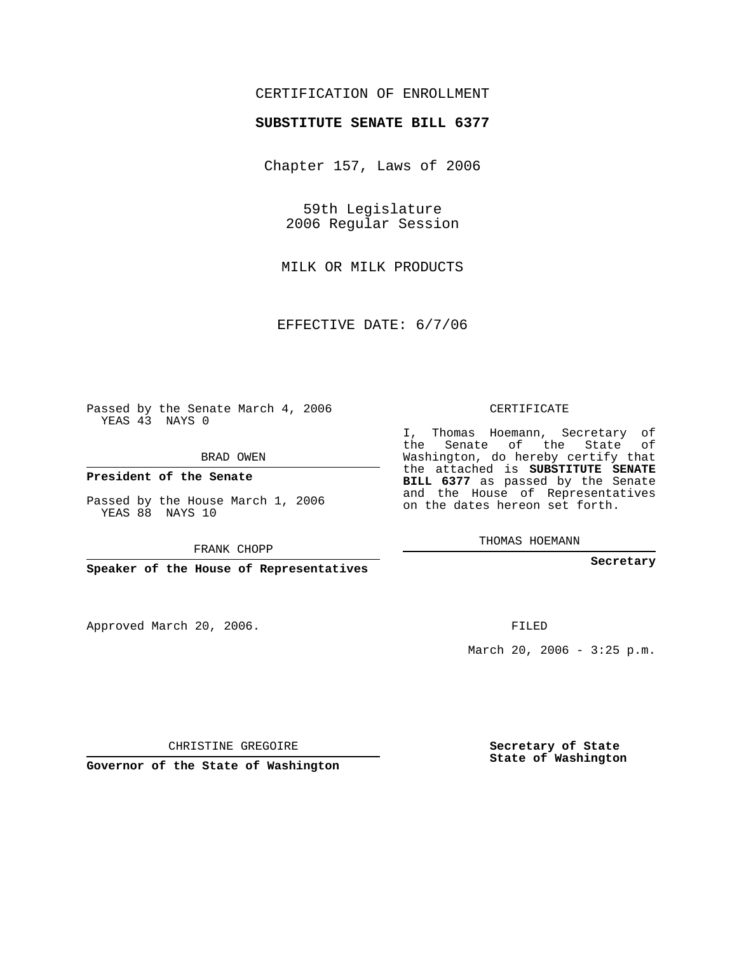## CERTIFICATION OF ENROLLMENT

#### **SUBSTITUTE SENATE BILL 6377**

Chapter 157, Laws of 2006

59th Legislature 2006 Regular Session

MILK OR MILK PRODUCTS

EFFECTIVE DATE: 6/7/06

Passed by the Senate March 4, 2006 YEAS 43 NAYS 0

BRAD OWEN

**President of the Senate**

Passed by the House March 1, 2006 YEAS 88 NAYS 10

FRANK CHOPP

**Speaker of the House of Representatives**

Approved March 20, 2006.

CERTIFICATE

I, Thomas Hoemann, Secretary of the Senate of the State of Washington, do hereby certify that the attached is **SUBSTITUTE SENATE BILL 6377** as passed by the Senate and the House of Representatives on the dates hereon set forth.

THOMAS HOEMANN

**Secretary**

FILED

March 20, 2006 -  $3:25$  p.m.

CHRISTINE GREGOIRE

**Governor of the State of Washington**

**Secretary of State State of Washington**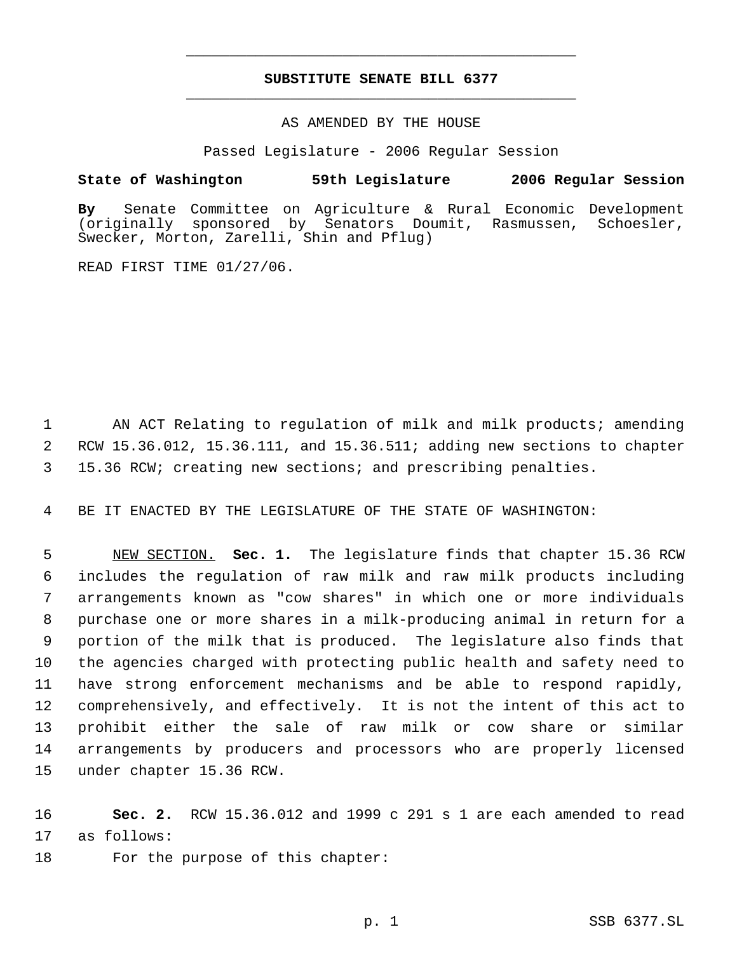# **SUBSTITUTE SENATE BILL 6377** \_\_\_\_\_\_\_\_\_\_\_\_\_\_\_\_\_\_\_\_\_\_\_\_\_\_\_\_\_\_\_\_\_\_\_\_\_\_\_\_\_\_\_\_\_

\_\_\_\_\_\_\_\_\_\_\_\_\_\_\_\_\_\_\_\_\_\_\_\_\_\_\_\_\_\_\_\_\_\_\_\_\_\_\_\_\_\_\_\_\_

#### AS AMENDED BY THE HOUSE

Passed Legislature - 2006 Regular Session

### **State of Washington 59th Legislature 2006 Regular Session**

**By** Senate Committee on Agriculture & Rural Economic Development sponsored by Senators Doumit, Rasmussen, Schoesler, Swecker, Morton, Zarelli, Shin and Pflug)

READ FIRST TIME 01/27/06.

1 AN ACT Relating to regulation of milk and milk products; amending 2 RCW 15.36.012, 15.36.111, and 15.36.511; adding new sections to chapter 3 15.36 RCW; creating new sections; and prescribing penalties.

4 BE IT ENACTED BY THE LEGISLATURE OF THE STATE OF WASHINGTON:

 NEW SECTION. **Sec. 1.** The legislature finds that chapter 15.36 RCW includes the regulation of raw milk and raw milk products including arrangements known as "cow shares" in which one or more individuals purchase one or more shares in a milk-producing animal in return for a portion of the milk that is produced. The legislature also finds that the agencies charged with protecting public health and safety need to have strong enforcement mechanisms and be able to respond rapidly, comprehensively, and effectively. It is not the intent of this act to prohibit either the sale of raw milk or cow share or similar arrangements by producers and processors who are properly licensed under chapter 15.36 RCW.

16 **Sec. 2.** RCW 15.36.012 and 1999 c 291 s 1 are each amended to read 17 as follows:

18 For the purpose of this chapter: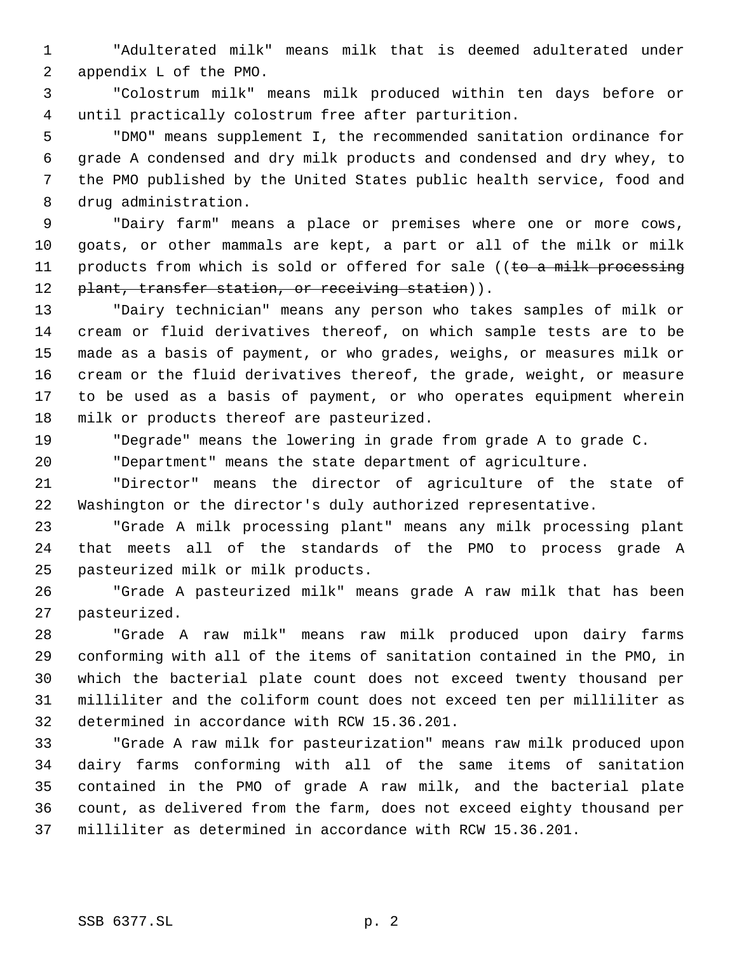"Adulterated milk" means milk that is deemed adulterated under appendix L of the PMO.

 "Colostrum milk" means milk produced within ten days before or until practically colostrum free after parturition.

 "DMO" means supplement I, the recommended sanitation ordinance for grade A condensed and dry milk products and condensed and dry whey, to the PMO published by the United States public health service, food and drug administration.

 "Dairy farm" means a place or premises where one or more cows, goats, or other mammals are kept, a part or all of the milk or milk 11 products from which is sold or offered for sale ((to a milk processing 12 plant, transfer station, or receiving station)).

 "Dairy technician" means any person who takes samples of milk or cream or fluid derivatives thereof, on which sample tests are to be made as a basis of payment, or who grades, weighs, or measures milk or cream or the fluid derivatives thereof, the grade, weight, or measure to be used as a basis of payment, or who operates equipment wherein milk or products thereof are pasteurized.

"Degrade" means the lowering in grade from grade A to grade C.

"Department" means the state department of agriculture.

 "Director" means the director of agriculture of the state of Washington or the director's duly authorized representative.

 "Grade A milk processing plant" means any milk processing plant that meets all of the standards of the PMO to process grade A pasteurized milk or milk products.

 "Grade A pasteurized milk" means grade A raw milk that has been pasteurized.

 "Grade A raw milk" means raw milk produced upon dairy farms conforming with all of the items of sanitation contained in the PMO, in which the bacterial plate count does not exceed twenty thousand per milliliter and the coliform count does not exceed ten per milliliter as determined in accordance with RCW 15.36.201.

 "Grade A raw milk for pasteurization" means raw milk produced upon dairy farms conforming with all of the same items of sanitation contained in the PMO of grade A raw milk, and the bacterial plate count, as delivered from the farm, does not exceed eighty thousand per milliliter as determined in accordance with RCW 15.36.201.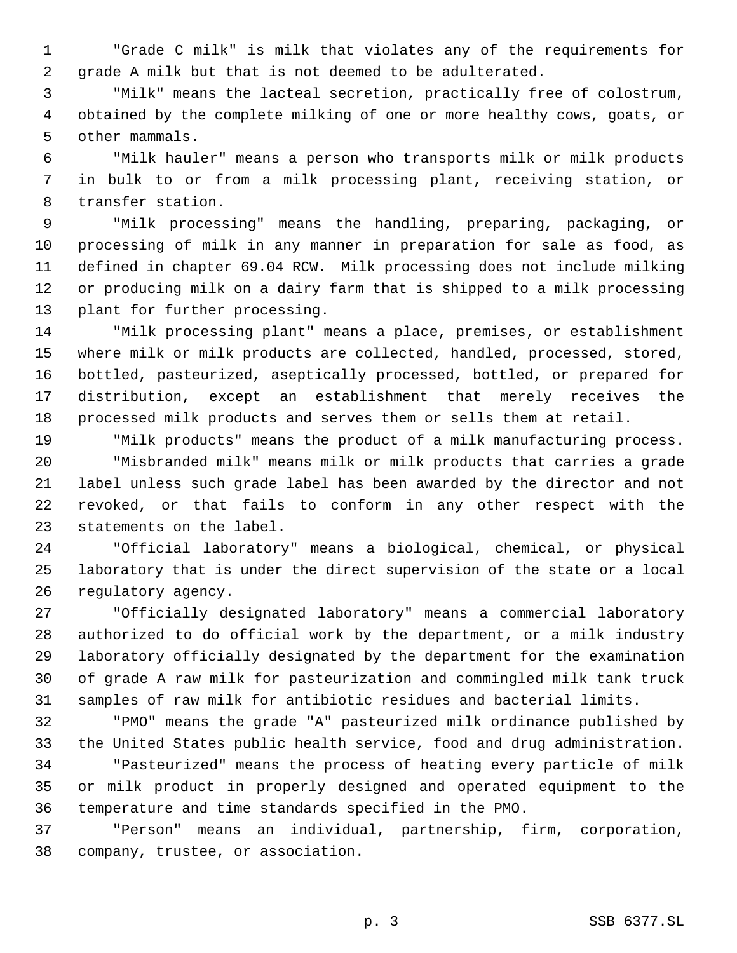"Grade C milk" is milk that violates any of the requirements for grade A milk but that is not deemed to be adulterated.

 "Milk" means the lacteal secretion, practically free of colostrum, obtained by the complete milking of one or more healthy cows, goats, or other mammals.

 "Milk hauler" means a person who transports milk or milk products in bulk to or from a milk processing plant, receiving station, or transfer station.

 "Milk processing" means the handling, preparing, packaging, or processing of milk in any manner in preparation for sale as food, as defined in chapter 69.04 RCW. Milk processing does not include milking or producing milk on a dairy farm that is shipped to a milk processing plant for further processing.

 "Milk processing plant" means a place, premises, or establishment where milk or milk products are collected, handled, processed, stored, bottled, pasteurized, aseptically processed, bottled, or prepared for distribution, except an establishment that merely receives the processed milk products and serves them or sells them at retail.

 "Milk products" means the product of a milk manufacturing process. "Misbranded milk" means milk or milk products that carries a grade label unless such grade label has been awarded by the director and not revoked, or that fails to conform in any other respect with the statements on the label.

 "Official laboratory" means a biological, chemical, or physical laboratory that is under the direct supervision of the state or a local regulatory agency.

 "Officially designated laboratory" means a commercial laboratory authorized to do official work by the department, or a milk industry laboratory officially designated by the department for the examination of grade A raw milk for pasteurization and commingled milk tank truck samples of raw milk for antibiotic residues and bacterial limits.

 "PMO" means the grade "A" pasteurized milk ordinance published by the United States public health service, food and drug administration. "Pasteurized" means the process of heating every particle of milk or milk product in properly designed and operated equipment to the temperature and time standards specified in the PMO.

 "Person" means an individual, partnership, firm, corporation, company, trustee, or association.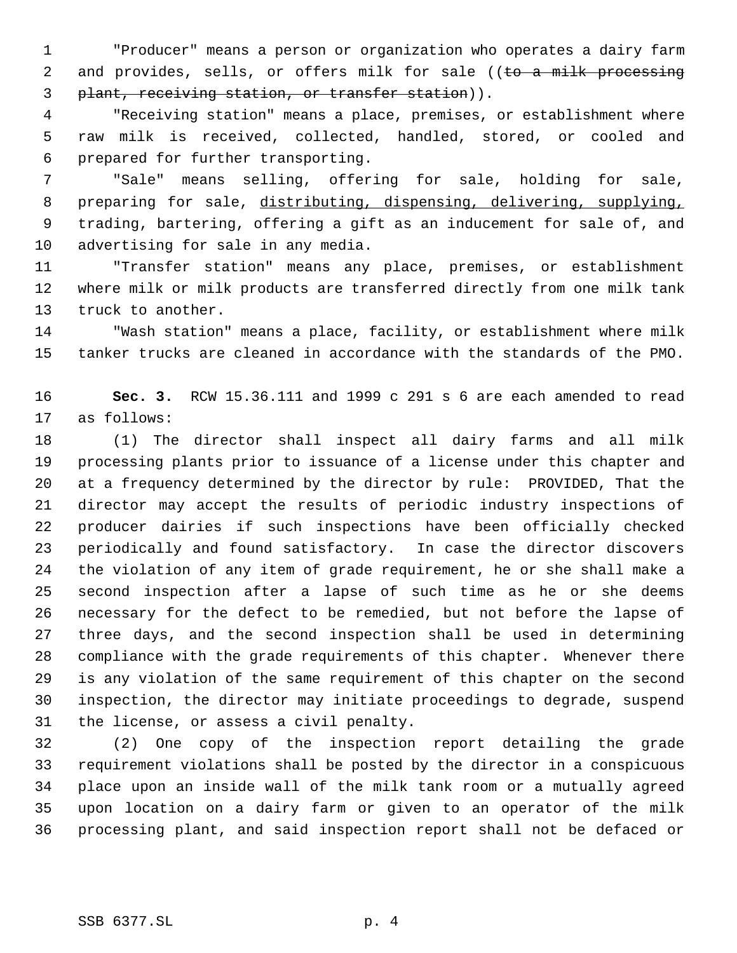"Producer" means a person or organization who operates a dairy farm 2 and provides, sells, or offers milk for sale ((to a milk processing 3 plant, receiving station, or transfer station)).

 "Receiving station" means a place, premises, or establishment where raw milk is received, collected, handled, stored, or cooled and prepared for further transporting.

 "Sale" means selling, offering for sale, holding for sale, preparing for sale, distributing, dispensing, delivering, supplying, trading, bartering, offering a gift as an inducement for sale of, and advertising for sale in any media.

 "Transfer station" means any place, premises, or establishment where milk or milk products are transferred directly from one milk tank truck to another.

 "Wash station" means a place, facility, or establishment where milk tanker trucks are cleaned in accordance with the standards of the PMO.

 **Sec. 3.** RCW 15.36.111 and 1999 c 291 s 6 are each amended to read as follows:

 (1) The director shall inspect all dairy farms and all milk processing plants prior to issuance of a license under this chapter and at a frequency determined by the director by rule: PROVIDED, That the director may accept the results of periodic industry inspections of producer dairies if such inspections have been officially checked periodically and found satisfactory. In case the director discovers the violation of any item of grade requirement, he or she shall make a second inspection after a lapse of such time as he or she deems necessary for the defect to be remedied, but not before the lapse of three days, and the second inspection shall be used in determining compliance with the grade requirements of this chapter. Whenever there is any violation of the same requirement of this chapter on the second inspection, the director may initiate proceedings to degrade, suspend the license, or assess a civil penalty.

 (2) One copy of the inspection report detailing the grade requirement violations shall be posted by the director in a conspicuous place upon an inside wall of the milk tank room or a mutually agreed upon location on a dairy farm or given to an operator of the milk processing plant, and said inspection report shall not be defaced or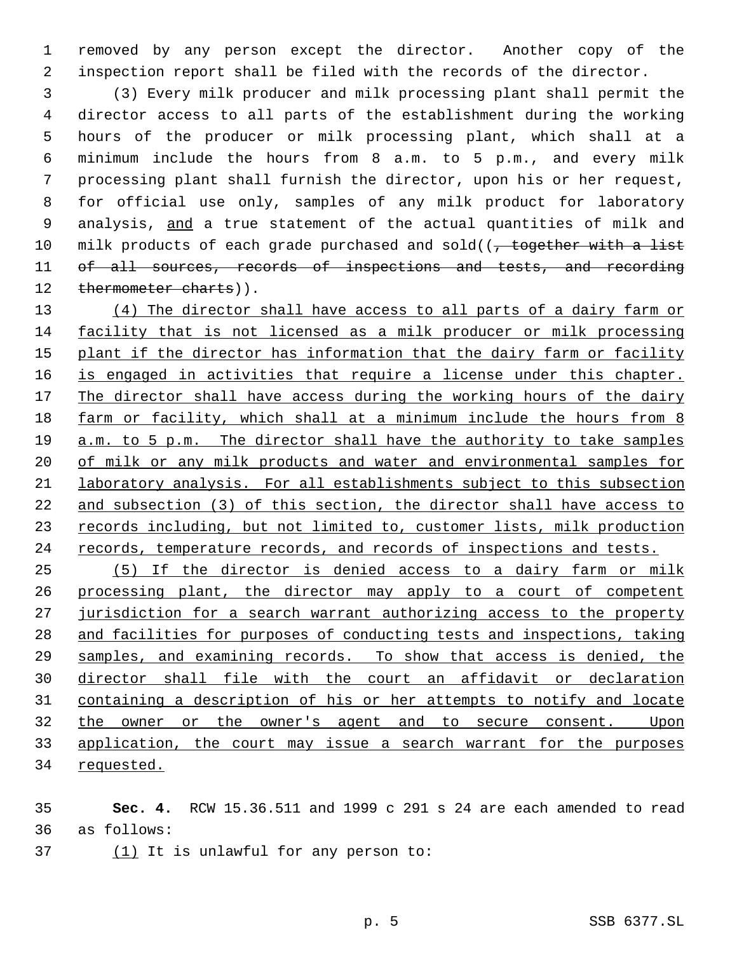removed by any person except the director. Another copy of the inspection report shall be filed with the records of the director.

 (3) Every milk producer and milk processing plant shall permit the director access to all parts of the establishment during the working hours of the producer or milk processing plant, which shall at a minimum include the hours from 8 a.m. to 5 p.m., and every milk processing plant shall furnish the director, upon his or her request, for official use only, samples of any milk product for laboratory 9 analysis, and a true statement of the actual quantities of milk and 10 milk products of each grade purchased and sold( $\sqrt{ }$ , together with a list of all sources, records of inspections and tests, and recording 12 thermometer charts)).

13 (4) The director shall have access to all parts of a dairy farm or facility that is not licensed as a milk producer or milk processing 15 plant if the director has information that the dairy farm or facility 16 is engaged in activities that require a license under this chapter. 17 The director shall have access during the working hours of the dairy farm or facility, which shall at a minimum include the hours from 8 a.m. to 5 p.m. The director shall have the authority to take samples 20 of milk or any milk products and water and environmental samples for laboratory analysis. For all establishments subject to this subsection and subsection (3) of this section, the director shall have access to 23 records including, but not limited to, customer lists, milk production 24 records, temperature records, and records of inspections and tests.

 (5) If the director is denied access to a dairy farm or milk 26 processing plant, the director may apply to a court of competent 27 jurisdiction for a search warrant authorizing access to the property and facilities for purposes of conducting tests and inspections, taking 29 samples, and examining records. To show that access is denied, the director shall file with the court an affidavit or declaration containing a description of his or her attempts to notify and locate the owner or the owner's agent and to secure consent. Upon application, the court may issue a search warrant for the purposes requested.

 **Sec. 4.** RCW 15.36.511 and 1999 c 291 s 24 are each amended to read as follows:

37 (1) It is unlawful for any person to: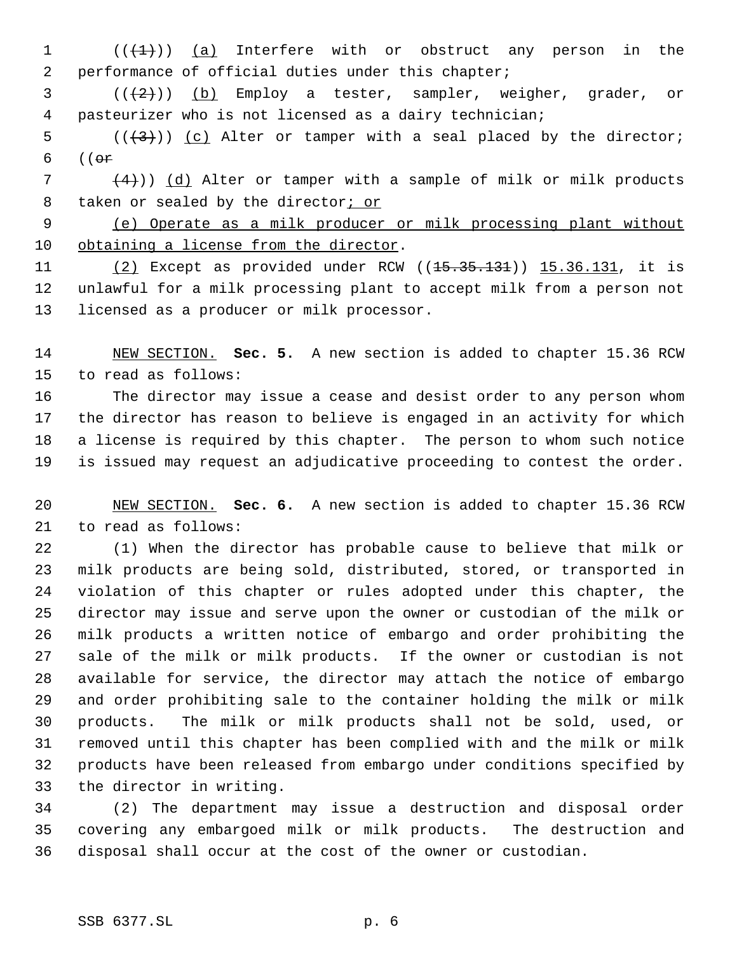(( $\left(\frac{1}{1}\right)$ ) (a) Interfere with or obstruct any person in the performance of official duties under this chapter;

 ( $(\frac{1}{2})$ ) (b) Employ a tester, sampler, weigher, grader, or pasteurizer who is not licensed as a dairy technician;

5  $((+3))$   $(c)$  Alter or tamper with a seal placed by the director; ((or

7  $(4)$ )) (d) Alter or tamper with a sample of milk or milk products 8 taken or sealed by the director<sub>i</sub> or

 (e) Operate as a milk producer or milk processing plant without obtaining a license from the director.

11 (2) Except as provided under RCW ((<del>15.35.131</del>)) 15.36.131, it is unlawful for a milk processing plant to accept milk from a person not licensed as a producer or milk processor.

 NEW SECTION. **Sec. 5.** A new section is added to chapter 15.36 RCW to read as follows:

 The director may issue a cease and desist order to any person whom the director has reason to believe is engaged in an activity for which a license is required by this chapter. The person to whom such notice is issued may request an adjudicative proceeding to contest the order.

 NEW SECTION. **Sec. 6.** A new section is added to chapter 15.36 RCW to read as follows:

 (1) When the director has probable cause to believe that milk or milk products are being sold, distributed, stored, or transported in violation of this chapter or rules adopted under this chapter, the director may issue and serve upon the owner or custodian of the milk or milk products a written notice of embargo and order prohibiting the sale of the milk or milk products. If the owner or custodian is not available for service, the director may attach the notice of embargo and order prohibiting sale to the container holding the milk or milk products. The milk or milk products shall not be sold, used, or removed until this chapter has been complied with and the milk or milk products have been released from embargo under conditions specified by the director in writing.

 (2) The department may issue a destruction and disposal order covering any embargoed milk or milk products. The destruction and disposal shall occur at the cost of the owner or custodian.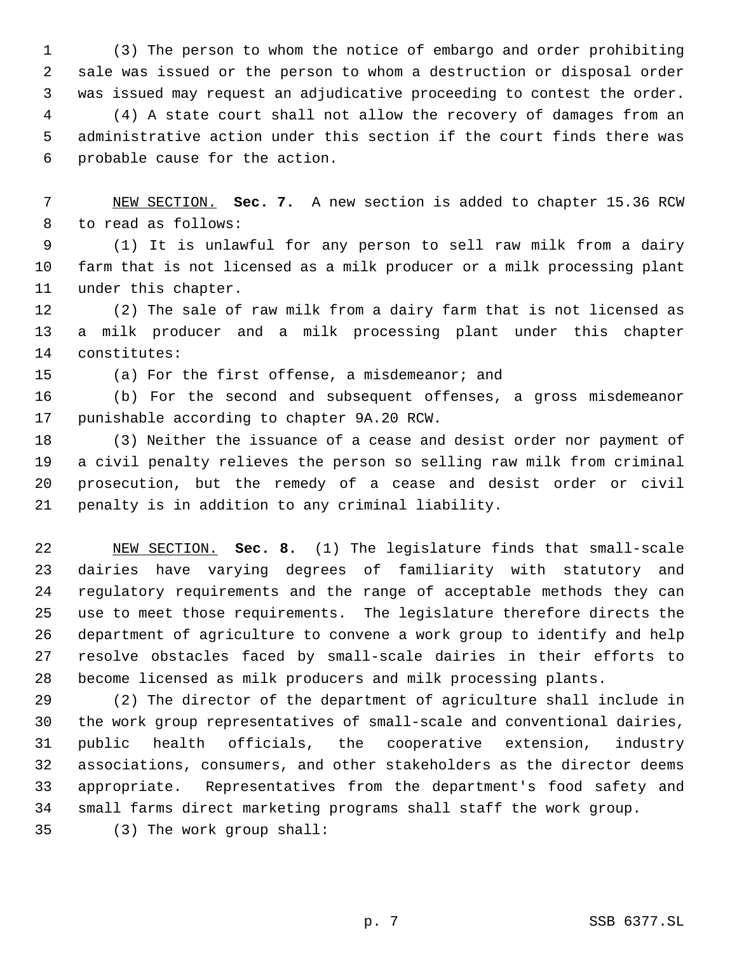(3) The person to whom the notice of embargo and order prohibiting sale was issued or the person to whom a destruction or disposal order was issued may request an adjudicative proceeding to contest the order.

 (4) A state court shall not allow the recovery of damages from an administrative action under this section if the court finds there was probable cause for the action.

 NEW SECTION. **Sec. 7.** A new section is added to chapter 15.36 RCW to read as follows:

 (1) It is unlawful for any person to sell raw milk from a dairy farm that is not licensed as a milk producer or a milk processing plant under this chapter.

 (2) The sale of raw milk from a dairy farm that is not licensed as a milk producer and a milk processing plant under this chapter constitutes:

(a) For the first offense, a misdemeanor; and

 (b) For the second and subsequent offenses, a gross misdemeanor punishable according to chapter 9A.20 RCW.

 (3) Neither the issuance of a cease and desist order nor payment of a civil penalty relieves the person so selling raw milk from criminal prosecution, but the remedy of a cease and desist order or civil penalty is in addition to any criminal liability.

 NEW SECTION. **Sec. 8.** (1) The legislature finds that small-scale dairies have varying degrees of familiarity with statutory and regulatory requirements and the range of acceptable methods they can use to meet those requirements. The legislature therefore directs the department of agriculture to convene a work group to identify and help resolve obstacles faced by small-scale dairies in their efforts to become licensed as milk producers and milk processing plants.

 (2) The director of the department of agriculture shall include in the work group representatives of small-scale and conventional dairies, public health officials, the cooperative extension, industry associations, consumers, and other stakeholders as the director deems appropriate. Representatives from the department's food safety and small farms direct marketing programs shall staff the work group.

(3) The work group shall: